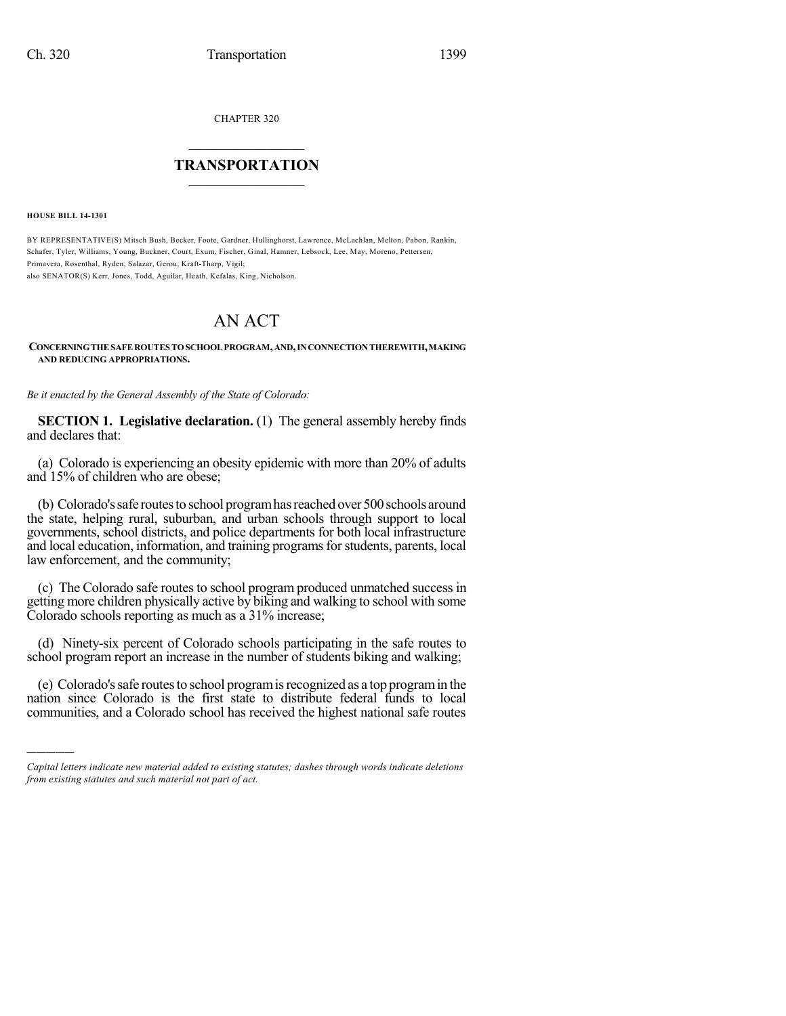CHAPTER 320

## $\overline{\phantom{a}}$  . The set of the set of the set of the set of the set of the set of the set of the set of the set of the set of the set of the set of the set of the set of the set of the set of the set of the set of the set o **TRANSPORTATION**  $\_$   $\_$   $\_$   $\_$   $\_$   $\_$   $\_$   $\_$   $\_$

**HOUSE BILL 14-1301**

)))))

BY REPRESENTATIVE(S) Mitsch Bush, Becker, Foote, Gardner, Hullinghorst, Lawrence, McLachlan, Melton, Pabon, Rankin, Schafer, Tyler, Williams, Young, Buckner, Court, Exum, Fischer, Ginal, Hamner, Lebsock, Lee, May, Moreno, Pettersen, Primavera, Rosenthal, Ryden, Salazar, Gerou, Kraft-Tharp, Vigil; also SENATOR(S) Kerr, Jones, Todd, Aguilar, Heath, Kefalas, King, Nicholson.

## AN ACT

## **CONCERNINGTHESAFEROUTES TOSCHOOLPROGRAM,AND,INCONNECTIONTHEREWITH,MAKING AND REDUCING APPROPRIATIONS.**

*Be it enacted by the General Assembly of the State of Colorado:*

**SECTION 1. Legislative declaration.** (1) The general assembly hereby finds and declares that:

(a) Colorado is experiencing an obesity epidemic with more than 20% of adults and 15% of children who are obese;

(b) Colorado's safe routes to school program has reached over 500 schools around the state, helping rural, suburban, and urban schools through support to local governments, school districts, and police departments for both local infrastructure and local education, information, and training programs for students, parents, local law enforcement, and the community;

(c) The Colorado safe routes to school program produced unmatched success in getting more children physically active by biking and walking to school with some Colorado schools reporting as much as a 31% increase;

(d) Ninety-six percent of Colorado schools participating in the safe routes to school program report an increase in the number of students biking and walking;

(e) Colorado'ssafe routesto school programisrecognized as a top programin the nation since Colorado is the first state to distribute federal funds to local communities, and a Colorado school has received the highest national safe routes

*Capital letters indicate new material added to existing statutes; dashes through words indicate deletions from existing statutes and such material not part of act.*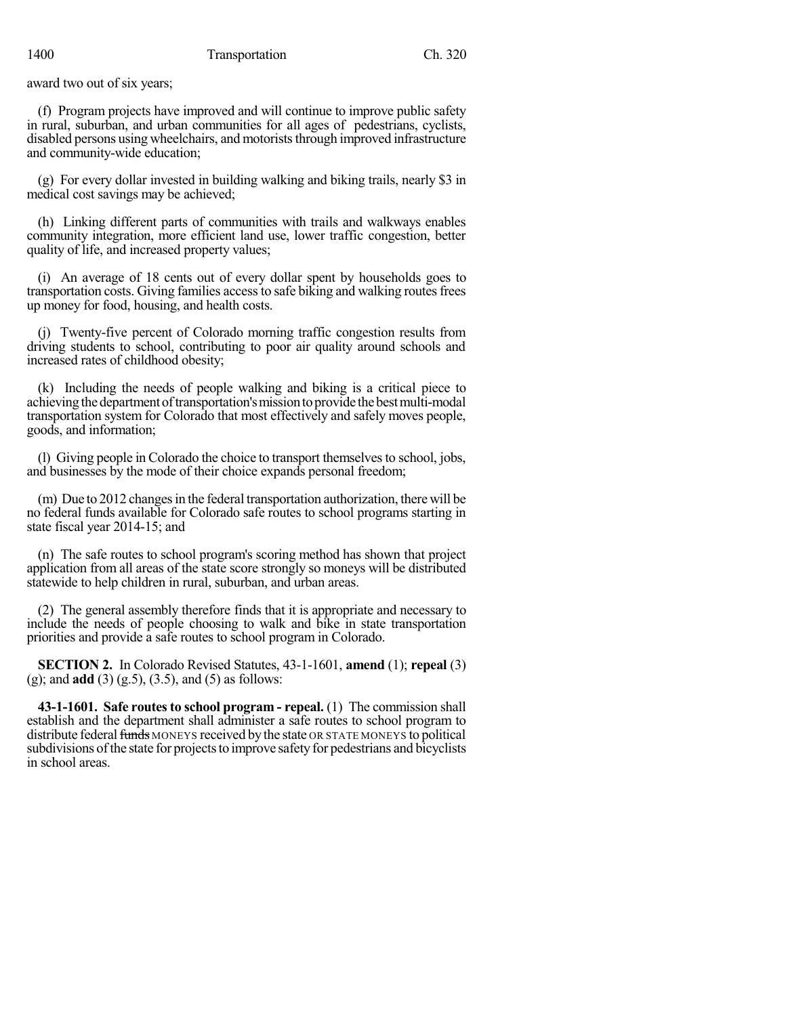award two out of six years;

(f) Program projects have improved and will continue to improve public safety in rural, suburban, and urban communities for all ages of pedestrians, cyclists, disabled persons using wheelchairs, and motorists through improved infrastructure and community-wide education;

(g) For every dollar invested in building walking and biking trails, nearly \$3 in medical cost savings may be achieved;

(h) Linking different parts of communities with trails and walkways enables community integration, more efficient land use, lower traffic congestion, better quality of life, and increased property values;

(i) An average of 18 cents out of every dollar spent by households goes to transportation costs. Giving families accessto safe biking and walking routesfrees up money for food, housing, and health costs.

(j) Twenty-five percent of Colorado morning traffic congestion results from driving students to school, contributing to poor air quality around schools and increased rates of childhood obesity;

(k) Including the needs of people walking and biking is a critical piece to achieving the department of transportation's mission to provide the best multi-modal transportation system for Colorado that most effectively and safely moves people, goods, and information;

(l) Giving people in Colorado the choice to transport themselves to school, jobs, and businesses by the mode of their choice expands personal freedom;

(m) Due to 2012 changes in the federal transportation authorization, there will be no federal funds available for Colorado safe routes to school programs starting in state fiscal year 2014-15; and

(n) The safe routes to school program's scoring method has shown that project application from all areas of the state score strongly so moneys will be distributed statewide to help children in rural, suburban, and urban areas.

(2) The general assembly therefore finds that it is appropriate and necessary to include the needs of people choosing to walk and bike in state transportation priorities and provide a safe routes to school program in Colorado.

**SECTION 2.** In Colorado Revised Statutes, 43-1-1601, **amend** (1); **repeal** (3) (g); and **add** (3) (g.5), (3.5), and (5) as follows:

**43-1-1601. Safe routesto school program - repeal.** (1) The commission shall establish and the department shall administer a safe routes to school program to distribute federal funds MONEYS received by the state OR STATE MONEYS to political subdivisions of the state for projects to improve safety for pedestrians and bicyclists in school areas.